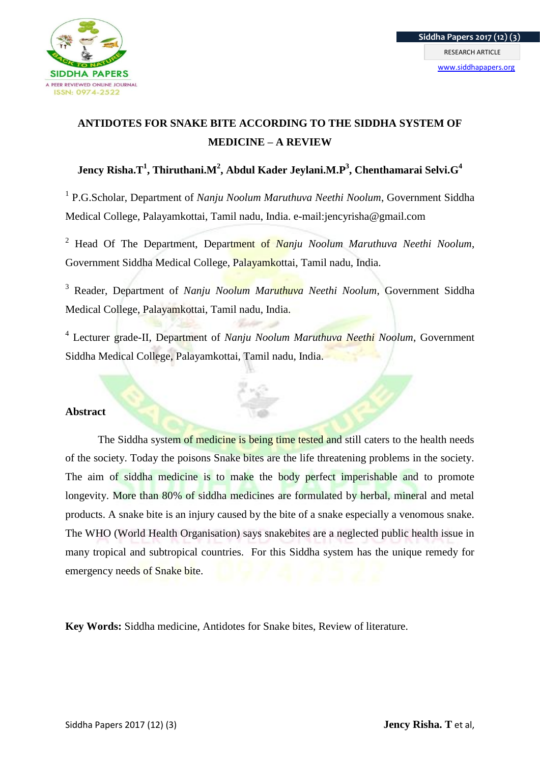

## **ANTIDOTES FOR SNAKE BITE ACCORDING TO THE SIDDHA SYSTEM OF MEDICINE – A REVIEW**

## **Jency Risha.T<sup>1</sup> , Thiruthani.M<sup>2</sup> , Abdul Kader Jeylani.M.P<sup>3</sup> , Chenthamarai Selvi.G<sup>4</sup>**

<sup>1</sup> P.G.Scholar, Department of *Nanju Noolum Maruthuva Neethi Noolum*, Government Siddha Medical College, Palayamkottai, Tamil nadu, India. e-mail:jencyrisha@gmail.com

<sup>2</sup> Head Of The Department, Department of *Nanju Noolum Maruthuva Neethi Noolum*, Government Siddha Medical College, Palayamkottai, Tamil nadu, India.

<sup>3</sup> Reader, Department of *Nanju Noolum Maruthuva Neethi Noolum*, Government Siddha Medical College, Palayamkottai, Tamil nadu, India.

4 Lecturer grade-II, Department of *Nanju Noolum Maruthuva Neethi Noolum*, Government Siddha Medical College, Palayamkottai, Tamil nadu, India.

### **Abstract**

The Siddha system of medicine is being time tested and still caters to the health needs of the society. Today the poisons Snake bites are the life threatening problems in the society. The aim of siddha medicine is to make the body perfect imperishable and to promote longevity. More than 80% of siddha medicines are formulated by herbal, mineral and metal products. A snake bite is an injury caused by the bite of a snake especially a venomous snake. The WHO (World Health Organisation) says snakebites are a neglected public health issue in many tropical and subtropical countries. For this Siddha system has the unique remedy for emergency needs of Snake bite.

**Key Words:** Siddha medicine, Antidotes for Snake bites, Review of literature.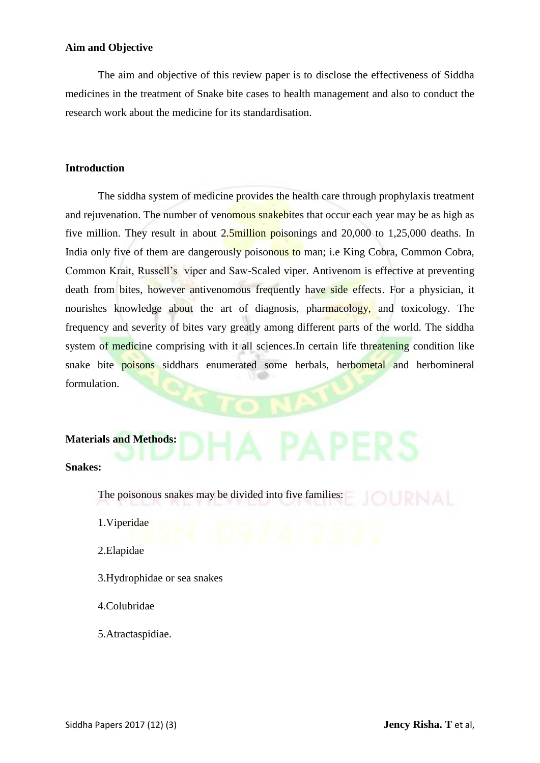## **Aim and Objective**

The aim and objective of this review paper is to disclose the effectiveness of Siddha medicines in the treatment of Snake bite cases to health management and also to conduct the research work about the medicine for its standardisation.

## **Introduction**

The siddha system of medicine provides the health care through prophylaxis treatment and rejuvenation. The number of venomous snakebites that occur each year may be as high as five million. They result in about 2.5million poisonings and 20,000 to 1,25,000 deaths. In India only five of them are dangerously poisonous to man; i.e King Cobra, Common Cobra, Common Krait, Russell's viper and Saw-Scaled viper. Antivenom is effective at preventing death from bites, however antivenomous frequently have side effects. For a physician, it nourishes knowledge about the art of diagnosis, pharmacology, and toxicology. The frequency and severity of bites vary greatly among different parts of the world. The siddha system of medicine comprising with it all sciences. In certain life threatening condition like snake bite **poisons** siddhars enumerated some herbals, herbometal and herbomineral formulation.

#### **Materials and Methods:**

#### **Snakes:**

The poisonous snakes may be divided into five families:

1.Viperidae

2.Elapidae

- 3.Hydrophidae or sea snakes
- 4.Colubridae
- 5.Atractaspidiae.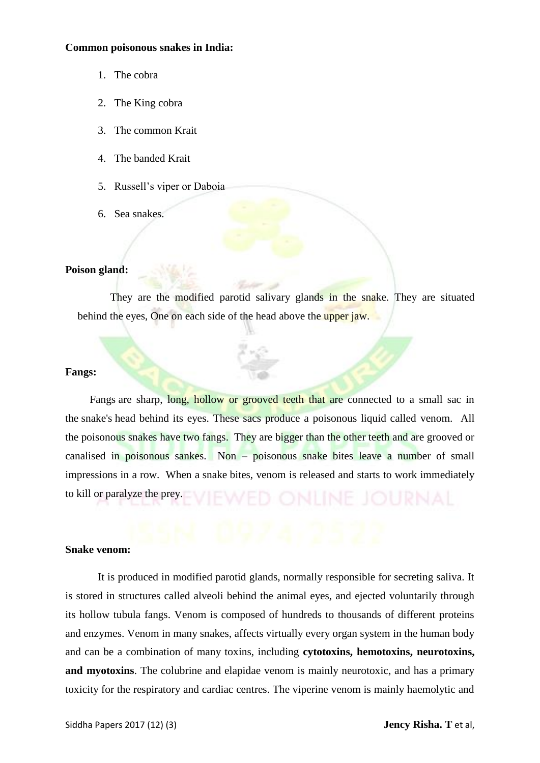#### **Common poisonous snakes in India:**

- 1. The cobra
- 2. The King cobra
- 3. The common Krait
- 4. The banded Krait
- 5. Russell's viper or Daboia
- 6. Sea snakes.

### **Poison gland:**

They are the modified parotid salivary glands in the snake. They are situated behind the eyes, One on each side of the head above the upper jaw.

## **Fangs:**

Fangs are sharp, long, hollow or grooved teeth that are connected to a small sac in the snake's head behind its eyes. These sacs produce a poisonous liquid called venom. All the poisonous snakes have two fangs. They are bigger than the other teeth and are grooved or canalised in poisonous sankes. Non – poisonous snake bites leave a number of small impressions in a row. When a snake bites, venom is released and starts to work immediately to kill or paralyze the prey.

#### **Snake venom:**

It is produced in modified parotid glands, normally responsible for secreting saliva. It is stored in structures called alveoli behind the animal eyes, and ejected voluntarily through its hollow tubula fangs. Venom is composed of hundreds to thousands of different proteins and enzymes. Venom in many snakes, affects virtually every organ system in the human body and can be a combination of many toxins, including **cytotoxins, hemotoxins, neurotoxins, and myotoxins**. The colubrine and elapidae venom is mainly neurotoxic, and has a primary toxicity for the respiratory and cardiac centres. The viperine venom is mainly haemolytic and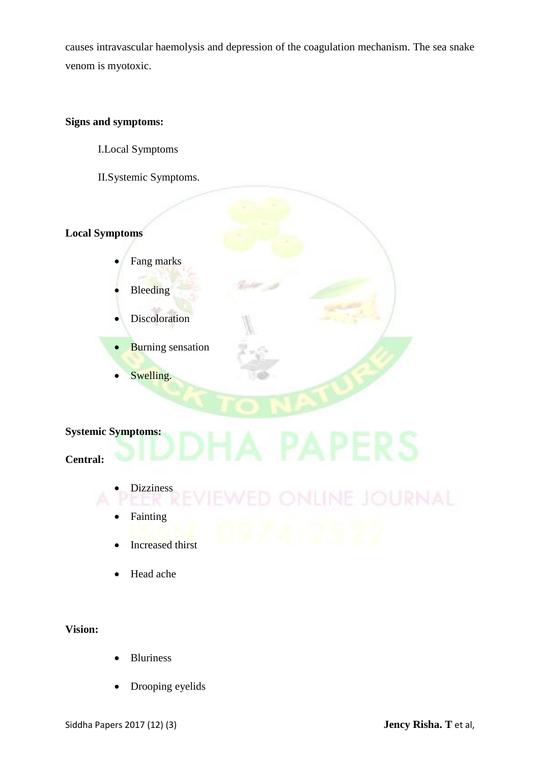causes intravascular haemolysis and depression of the coagulation mechanism. The sea snake venom is myotoxic.

## **Signs and symptoms:**

I.Local Symptoms

II.Systemic Symptoms.

## **Local Symptoms**

- Fang marks
- Bleeding
- Discoloration
- Burning sensation
- Swelling.

## **Systemic Symptoms:**

## **Central:**

- Dizziness
- **Fainting**
- Increased thirst
- Head ache

## **Vision:**

- Bluriness
- Drooping eyelids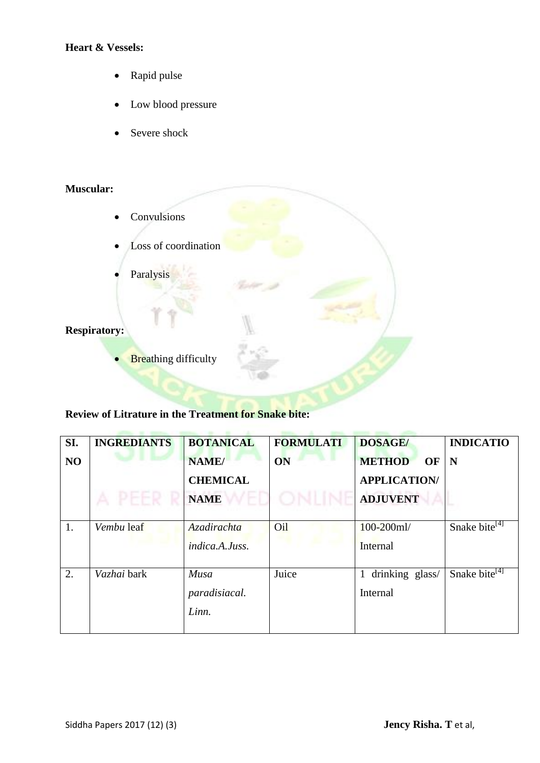## **Heart & Vessels:**

- Rapid pulse
- Low blood pressure
- Severe shock

## **Muscular:**

- Convulsions
- Loss of coordination
- Paralysis

## **Respiratory:**

**Breathing difficulty** 

## **Review of Litrature in the Treatment for Snake bite:**

| SI. | <b>INGREDIANTS</b> | <b>BOTANICAL</b>   | <b>FORMULATI</b> | <b>DOSAGE/</b>      | <b>INDICATIO</b>          |
|-----|--------------------|--------------------|------------------|---------------------|---------------------------|
| NO  |                    | NAME/              | <b>ON</b>        | <b>METHOD</b><br>OF | N                         |
|     |                    | <b>CHEMICAL</b>    |                  | <b>APPLICATION/</b> |                           |
|     |                    | <b>NAME</b>        |                  | <b>ADJUVENT</b>     |                           |
|     |                    |                    |                  |                     |                           |
| 1.  | Vembu leaf         | <b>Azadirachta</b> | Oil              | $100 - 200$ ml/     | Snake bite <sup>[4]</sup> |
|     |                    | indica.A.Juss.     |                  | Internal            |                           |
| 2.  | Vazhai bark        | Musa               | Juice            | drinking glass/     | Snake bite <sup>[4]</sup> |
|     |                    | paradisiacal.      |                  | Internal            |                           |
|     |                    | Linn.              |                  |                     |                           |
|     |                    |                    |                  |                     |                           |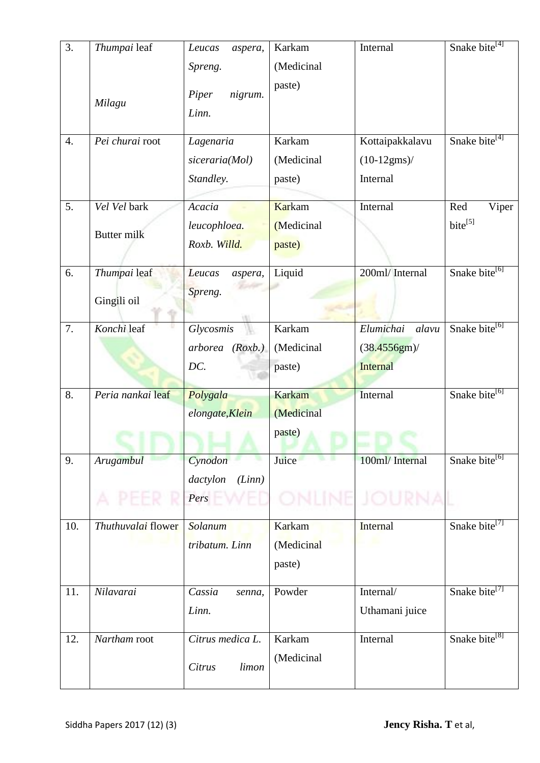| 3.  | Thumpai leaf       | Leucas<br>aspera,                    | Karkam<br>(Medicinal | Internal                   | Snake bite <sup>[4]</sup> |
|-----|--------------------|--------------------------------------|----------------------|----------------------------|---------------------------|
|     | Milagu             | Spreng.<br>Piper<br>nigrum.<br>Linn. | paste)               |                            |                           |
| 4.  | Pei churai root    | Lagenaria                            | Karkam               | Kottaipakkalavu            | Snake bite <sup>[4]</sup> |
|     |                    | siceraria(Mol)<br>Standley.          | (Medicinal<br>paste) | $(10-12gms)$ /<br>Internal |                           |
| 5.  | Vel Vel bark       | Acacia                               | Karkam               | Internal                   | Red<br>Viper              |
|     |                    | leucophloea.                         | (Medicinal           |                            | $bite^{[5]}$              |
|     | <b>Butter milk</b> | Roxb. Willd.                         | paste)               |                            |                           |
| 6.  | Thumpai leaf       | Leucas<br>aspera,                    | Liquid               | 200ml/ Internal            | Snake bite <sup>[6]</sup> |
|     | Gingili oil        | Spreng.                              |                      |                            |                           |
| 7.  | Konchi leaf        | Glycosmis                            | Karkam               | Elumichai<br>alavu         | Snake bite <sup>[6]</sup> |
|     |                    | arborea (Roxb.)                      | (Medicinal           | $(38.4556gm)$ /            |                           |
|     |                    | DC.                                  | paste)               | <b>Internal</b>            |                           |
| 8.  | Peria nankai leaf  | Polygala                             | <b>Karkam</b>        | Internal                   | Snake bite <sup>[6]</sup> |
|     |                    | elongate, Klein                      | (Medicinal           |                            |                           |
|     |                    |                                      | paste)               |                            |                           |
| 9.  | <b>Arugambul</b>   | Cynodon                              | Juice                | 100ml/ Internal            | Snake bite <sup>[6]</sup> |
|     |                    | (Linn)<br>dactylon                   |                      |                            |                           |
|     |                    | Pers                                 |                      | 16 I H                     |                           |
| 10. | Thuthuvalai flower | Solanum                              | <b>Karkam</b>        | Internal                   | Snake bite <sup>[7]</sup> |
|     |                    | tribatum. Linn                       | (Medicinal           |                            |                           |
|     |                    |                                      | paste)               |                            |                           |
| 11. | Nilavarai          | Cassia<br>senna,                     | Powder               | Internal/                  | Snake bite <sup>[7]</sup> |
|     |                    | Linn.                                |                      | Uthamani juice             |                           |
| 12. | Nartham root       | Citrus medica L.                     | Karkam               | Internal                   | Snake bite <sup>[8]</sup> |
|     |                    | Citrus<br>limon                      | (Medicinal           |                            |                           |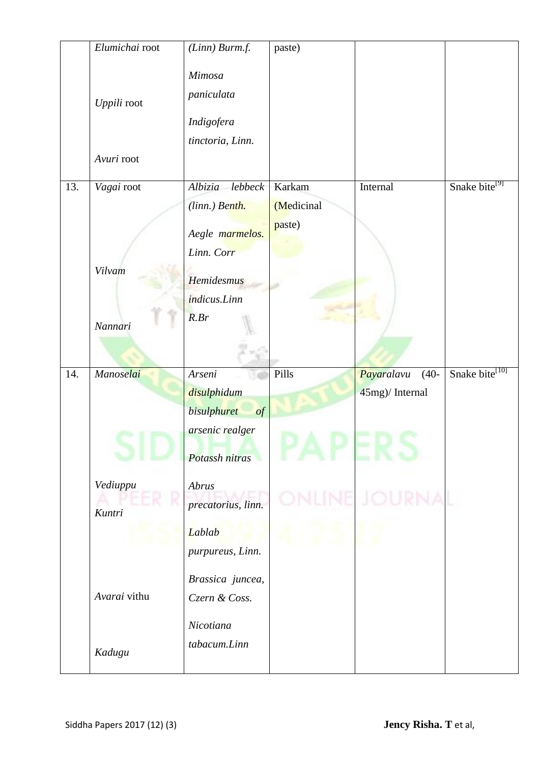|     | Elumichai root     | $(Linn)$ Burm.f.                                       | paste)               |                       |                            |
|-----|--------------------|--------------------------------------------------------|----------------------|-----------------------|----------------------------|
|     | Uppili root        | Mimosa<br>paniculata<br>Indigofera<br>tinctoria, Linn. |                      |                       |                            |
|     | Avuri root         |                                                        |                      |                       |                            |
| 13. | Vagai root         | Albizia<br>lebbeck<br>(linn.) Benth.                   | Karkam<br>(Medicinal | Internal              | Snake bite <sup>[9]</sup>  |
|     |                    | Aegle marmelos.<br>Linn. Corr                          | paste)               |                       |                            |
|     | Vilvam             | Hemidesmus<br>indicus.Linn                             |                      |                       |                            |
|     | Nannari            | $R.$ <i>Br</i>                                         |                      |                       |                            |
|     |                    |                                                        |                      |                       |                            |
|     |                    |                                                        |                      |                       |                            |
| 14. | Manoselai          | Arseni                                                 | Pills                | Payaralavu<br>$(40 -$ | Snake bite <sup>[10]</sup> |
|     |                    | disulphidum                                            |                      | 45mg)/ Internal       |                            |
|     |                    | <b>bisulphuret</b><br>$\int$                           |                      |                       |                            |
|     |                    | arsenic realger                                        |                      |                       |                            |
|     |                    | Potassh nitras                                         |                      |                       |                            |
|     |                    |                                                        |                      |                       |                            |
|     | Vediuppu<br>Kuntri | Abrus<br>precatorius, linn.                            |                      |                       |                            |
|     |                    | Lablab                                                 |                      |                       |                            |
|     |                    | purpureus, Linn.                                       |                      |                       |                            |
|     |                    |                                                        |                      |                       |                            |
|     | Avarai vithu       | Brassica juncea,<br>Czern & Coss.                      |                      |                       |                            |
|     |                    | Nicotiana<br>tabacum.Linn                              |                      |                       |                            |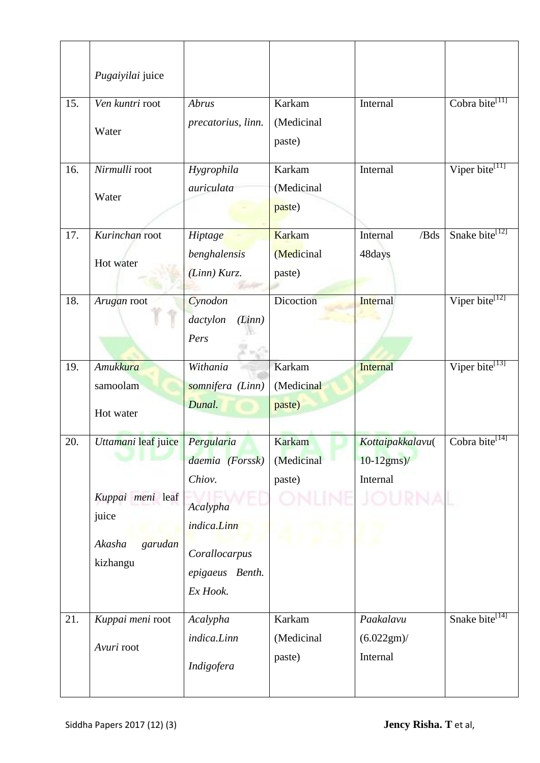|     | Pugaiyilai juice                                                                  |                                                                                                                    |                                       |                                                 |                            |
|-----|-----------------------------------------------------------------------------------|--------------------------------------------------------------------------------------------------------------------|---------------------------------------|-------------------------------------------------|----------------------------|
| 15. | Ven kuntri root<br>Water                                                          | Abrus<br>precatorius, linn.                                                                                        | Karkam<br>(Medicinal<br>paste)        | Internal                                        | Cobra bite <sup>[11]</sup> |
| 16. | Nirmulli root<br>Water                                                            | Hygrophila<br>auriculata                                                                                           | Karkam<br>(Medicinal<br>paste)        | Internal                                        | Viper bite <sup>[11]</sup> |
| 17. | Kurinchan root<br>Hot water                                                       | Hiptage<br>benghalensis<br>(Linn) Kurz.                                                                            | Karkam<br>(Medicinal<br>paste)        | /Bds<br>Internal<br>48days                      | Snake bite <sup>[12]</sup> |
| 18. | Arugan root                                                                       | Cynodon<br>dactylon<br>(Linn)<br>Pers                                                                              | Dicoction                             | Internal                                        | Viper bite <sup>[12]</sup> |
| 19. | <b>Amukkura</b><br>samoolam<br>Hot water                                          | Withania<br>somnifera (Linn)<br>Dunal.                                                                             | Karkam<br>(Medicinal<br>paste)        | <b>Internal</b>                                 | Viper bite <sup>[13]</sup> |
| 20. | Uttamani leaf juice<br>Kuppai meni leaf<br>juice<br>Akasha<br>garudan<br>kizhangu | Pergularia<br>daemia (Forssk)<br>Chiov.<br>Acalypha<br>indica.Linn<br>Corallocarpus<br>epigaeus Benth.<br>Ex Hook. | <b>Karkam</b><br>(Medicinal<br>paste) | Kottaipakkalavu(<br>$10 - 12$ gms)/<br>Internal | Cobra bite <sup>[14]</sup> |
| 21. | Kuppai meni root<br>Avuri root                                                    | Acalypha<br>indica.Linn<br>Indigofera                                                                              | Karkam<br>(Medicinal<br>paste)        | Paakalavu<br>(6.022gm) /<br>Internal            | Snake bite <sup>[14]</sup> |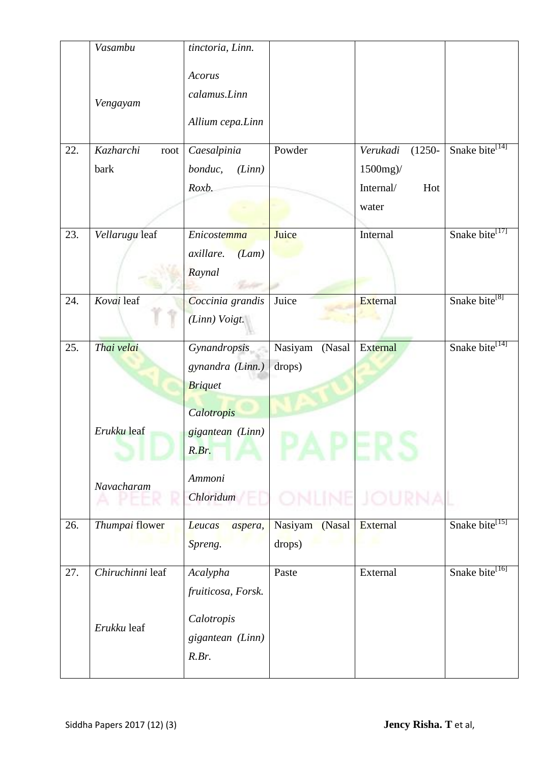|     | Vasambu                   | tinctoria, Linn.                                   |                             |                                                                |                            |
|-----|---------------------------|----------------------------------------------------|-----------------------------|----------------------------------------------------------------|----------------------------|
|     | Vengayam                  | Acorus<br>calamus.Linn<br>Allium cepa.Linn         |                             |                                                                |                            |
| 22. | Kazharchi<br>root<br>bark | Caesalpinia<br>(Linn)<br>bonduc,<br>Roxb.          | Powder                      | Verukadi<br>$(1250 -$<br>1500mg)/<br>Internal/<br>Hot<br>water | Snake bite <sup>[14]</sup> |
| 23. | Vellarugu leaf            | Enicostemma<br>axillare.<br>(Lam)<br>Raynal        | Juice                       | Internal                                                       | Snake bite <sup>[17]</sup> |
| 24. | Kovai leaf                | Coccinia grandis<br>(Linn) Voigt.                  | Juice                       | External                                                       | Snake bite <sup>[8]</sup>  |
| 25. | Thai velai                | Gynandropsis<br>gynandra (Linn.)<br><b>Briquet</b> | Nasiyam<br>(Nasal<br>drops) | External                                                       | Snake bite <sup>[14]</sup> |
|     | Erukku leaf               | Calotropis<br>gigantean (Linn)<br>R.Br.            |                             |                                                                |                            |
|     | Navacharam                | Ammoni<br>Chloridum                                |                             |                                                                |                            |
| 26. | Thumpai flower            | Leucas<br>aspera,<br>Spreng.                       | Nasiyam (Nasal<br>drops)    | External                                                       | Snake bite <sup>[15]</sup> |
| 27. | Chiruchinni leaf          | Acalypha<br>fruiticosa, Forsk.                     | Paste                       | External                                                       | Snake bite <sup>[16]</sup> |
|     | Erukku leaf               | Calotropis<br>gigantean (Linn)<br>R.Br.            |                             |                                                                |                            |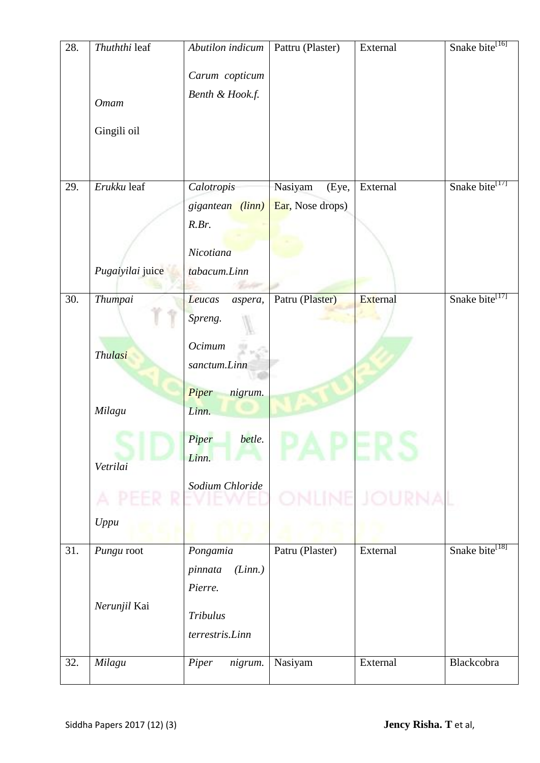| 28. | Thuththi leaf    | Abutilon indicum   | Pattru (Plaster) | External | Snake bite <sup>[16]</sup> |
|-----|------------------|--------------------|------------------|----------|----------------------------|
|     |                  | Carum copticum     |                  |          |                            |
|     | <b>Omam</b>      | Benth & Hook.f.    |                  |          |                            |
|     | Gingili oil      |                    |                  |          |                            |
|     |                  |                    |                  |          |                            |
|     |                  |                    |                  |          |                            |
| 29. | Erukku leaf      | Calotropis         | Nasiyam<br>(Eye, | External | Snake bite <sup>[17]</sup> |
|     |                  | gigantean (linn)   | Ear, Nose drops) |          |                            |
|     |                  | R.Br.              |                  |          |                            |
|     |                  | Nicotiana          |                  |          |                            |
|     | Pugaiyilai juice | tabacum.Linn       |                  |          |                            |
|     |                  |                    |                  |          |                            |
| 30. | Thumpai          | Leucas<br>aspera,  | Patru (Plaster)  | External | Snake bite <sup>[17]</sup> |
|     |                  | Spreng.            |                  |          |                            |
|     |                  | Ocimum             |                  |          |                            |
|     | <b>Thulasi</b>   | sanctum.Linn       |                  |          |                            |
|     |                  |                    |                  |          |                            |
|     |                  | Piper<br>nigrum.   |                  |          |                            |
|     | Milagu           | Linn.              |                  |          |                            |
|     |                  | Piper<br>betle.    |                  |          |                            |
|     |                  | Linn.              |                  |          |                            |
|     | Vetrilai         |                    |                  |          |                            |
|     |                  | Sodium Chloride    |                  |          |                            |
|     |                  |                    |                  |          |                            |
|     | Uppu             |                    |                  |          |                            |
| 31. | Pungu root       | Pongamia           | Patru (Plaster)  | External | Snake bite <sup>[18]</sup> |
|     |                  | pinnata<br>(Linn.) |                  |          |                            |
|     |                  | Pierre.            |                  |          |                            |
|     | Nerunjil Kai     | Tribulus           |                  |          |                            |
|     |                  |                    |                  |          |                            |
|     |                  | terrestris.Linn    |                  |          |                            |
| 32. | Milagu           | Piper<br>nigrum.   | Nasiyam          | External | Blackcobra                 |
|     |                  |                    |                  |          |                            |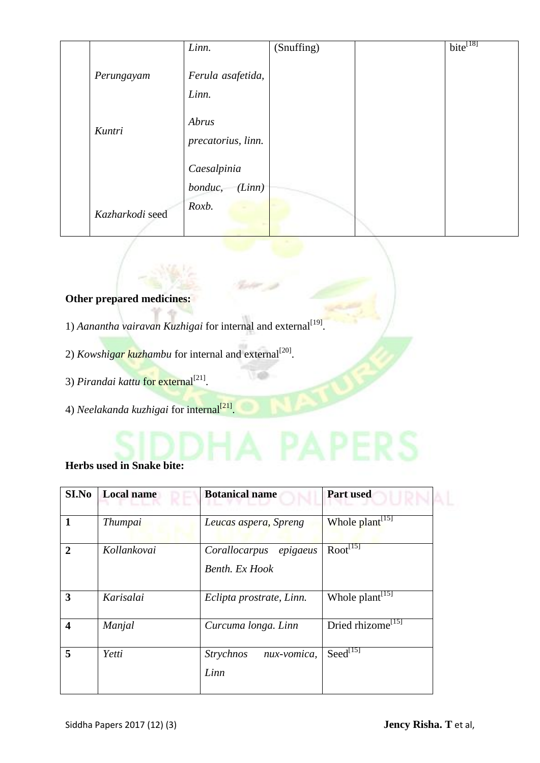|                 | Linn.                            | (Snuffing) | $\overline{\text{bite}^{[18]}}$ |
|-----------------|----------------------------------|------------|---------------------------------|
| Perungayam      | Ferula asafetida,<br>Linn.       |            |                                 |
| Kuntri          | Abrus<br>precatorius, linn.      |            |                                 |
|                 | Caesalpinia<br>bonduc,<br>(Linn) |            |                                 |
| Kazharkodi seed | Roxb.                            |            |                                 |

## **Other prepared medicines:**

- 1) Aanantha vairavan Kuzhigai for internal and external<sup>[19]</sup>.
- 2) *Kowshigar kuzhambu* for internal and external<sup>[20]</sup>.
- 3) *Pirandai kattu* for external<sup>[21]</sup>.
- 4) *Neelakanda kuzhigai* for internal<sup>[21]</sup>.

# **Herbs used in Snake bite:**

| SI.No            | <b>Local name</b> | <b>Botanical name</b>                       | <b>Part used</b>              |  |
|------------------|-------------------|---------------------------------------------|-------------------------------|--|
| 1                | <i>Thumpai</i>    | Leucas aspera, Spreng                       | Whole plant <sup>[15]</sup>   |  |
| $\overline{2}$   | Kollankovai       | epigaeus<br>Corallocarpus<br>Benth. Ex Hook | $Root^{[15]}$                 |  |
| 3                | Karisalai         | Eclipta prostrate, Linn.                    | Whole plant <sup>[15]</sup>   |  |
| $\boldsymbol{4}$ | Manjal            | Curcuma longa. Linn                         | Dried rhizome <sup>[15]</sup> |  |
| 5                | Yetti             | <i>Strychnos</i><br>nux-vomica,<br>Linn     | $\text{Seed}^{\overline{15}}$ |  |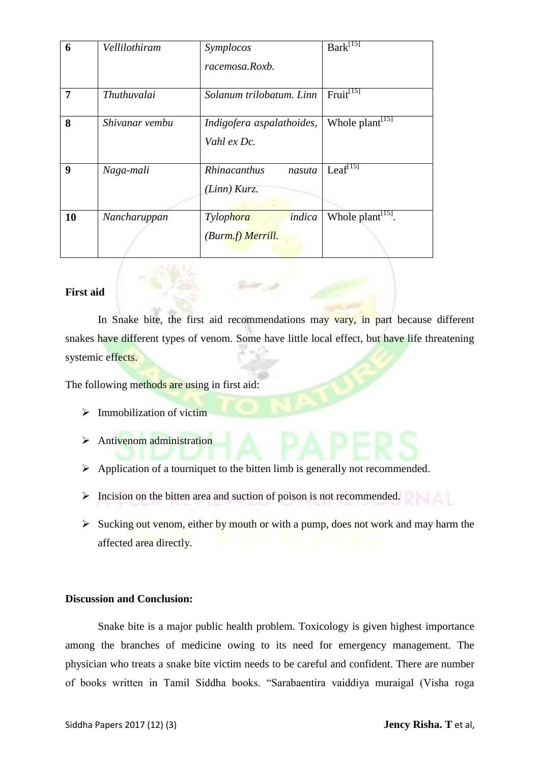| 6  | Vellilothiram  | Symplocos<br>racemosa.Roxb.              | $Bark^{[15]}$                 |
|----|----------------|------------------------------------------|-------------------------------|
| 7  | Thuthuvalai    | Solanum trilobatum. Linn                 | $Fruit^{[15]}$                |
| 8  | Shivanar vembu | Indigofera aspalathoides,<br>Vahl ex Dc. | Whole plant <sup>[15]</sup>   |
| 9  | Naga-mali      | Rhinacanthus<br>nasuta<br>(Linn) Kurz.   | $Leaf^{[15]}$                 |
| 10 | Nancharuppan   | indica<br>Tylophora<br>(Burm.f) Merrill. | Whole plant <sup>[15]</sup> . |

### **First aid**

In Snake bite, the first aid recommendations may vary, in part because different snakes have different types of venom. Some have little local effect, but have life threatening systemic effects.

The following methods are using in first aid:

- $\triangleright$  Immobilization of victim
- > Antivenom administration
- $\triangleright$  Application of a tourniquet to the bitten limb is generally not recommended.
- $\triangleright$  Incision on the bitten area and suction of poison is not recommended.
- $\triangleright$  Sucking out venom, either by mouth or with a pump, does not work and may harm the affected area directly.

#### **Discussion and Conclusion:**

Snake bite is a major public health problem. Toxicology is given highest importance among the branches of medicine owing to its need for emergency management. The physician who treats a snake bite victim needs to be careful and confident. There are number of books written in Tamil Siddha books. "Sarabaentira vaiddiya muraigal (Visha roga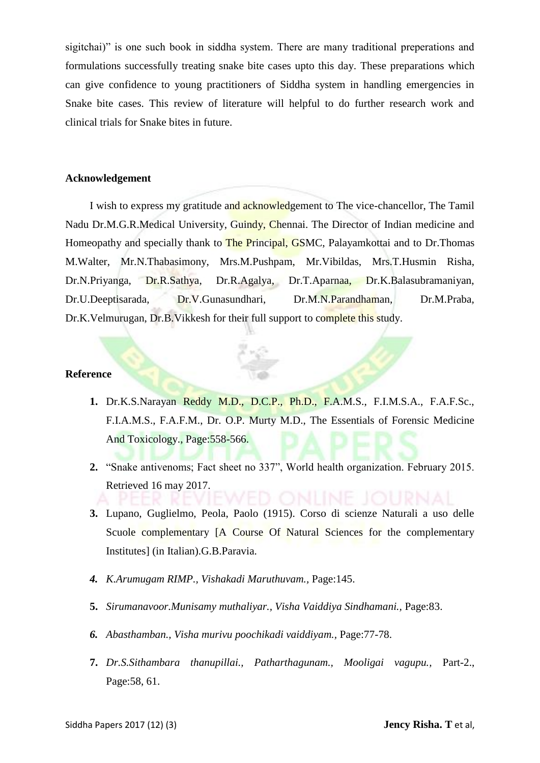sigitchai)" is one such book in siddha system. There are many traditional preperations and formulations successfully treating snake bite cases upto this day. These preparations which can give confidence to young practitioners of Siddha system in handling emergencies in Snake bite cases. This review of literature will helpful to do further research work and clinical trials for Snake bites in future.

#### **Acknowledgement**

I wish to express my gratitude and acknowledgement to The vice-chancellor, The Tamil Nadu Dr.M.G.R.Medical University, Guindy, Chennai. The Director of Indian medicine and Homeopathy and specially thank to **The Principal, GSMC**, Palayamkottai and to Dr. Thomas M.Walter, Mr.N.Thabasimony, Mrs.M.Pushpam, Mr.Vibildas, Mrs.T.Husmin Risha, Dr.N.Priyanga, Dr.R.Sathya, Dr.R.Agalya, Dr.T.Aparnaa, Dr.K.Balasubramaniyan, Dr.U.Deeptisarada, Dr.V.Gunasundhari, Dr.M.N.Parandhaman, Dr.M.Praba, Dr.K.Velmurugan, Dr.B.Vikkesh for their full support to complete this study.

#### **Reference**

- **1.** Dr.K.S.Narayan Reddy M.D., D.C.P., Ph.D., F.A.M.S., F.I.M.S.A., F.A.F.Sc., F.I.A.M.S., F.A.F.M., Dr. O.P. Murty M.D., The Essentials of Forensic Medicine And Toxicology., Page:558-566.
- **2.** "Snake antivenoms; Fact sheet no 337", World health organization. February 2015. Retrieved 16 may 2017.
- **3.** Lupano, Guglielmo, Peola, Paolo (1915). Corso di scienze Naturali a uso delle Scuole complementary [A Course Of Natural Sciences for the complementary Institutes] (in Italian).G.B.Paravia.
- *4. K.Arumugam RIMP., Vishakadi Maruthuvam.,* Page:145.
- **5.** *Sirumanavoor.Munisamy muthaliyar., Visha Vaiddiya Sindhamani.,* Page:83.
- *6. Abasthamban., Visha murivu poochikadi vaiddiyam.,* Page:77-78.
- **7.** *Dr.S.Sithambara thanupillai., Patharthagunam., Mooligai vagupu.,* Part-2., Page:58, 61.